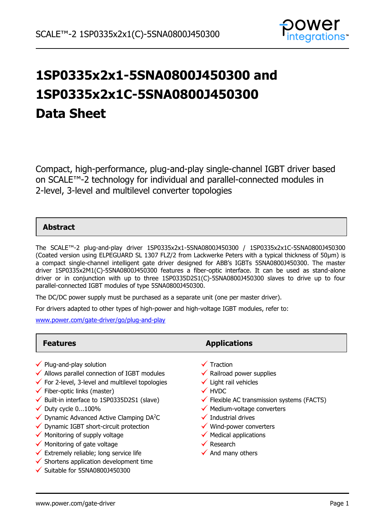

# **1SP0335x2x1-5SNA0800J450300 and 1SP0335x2x1C-5SNA0800J450300 Data Sheet**

Compact, high-performance, plug-and-play single-channel IGBT driver based on SCALE™-2 technology for individual and parallel-connected modules in 2-level, 3-level and multilevel converter topologies

# **Abstract**

The SCALE™-2 plug-and-play driver 1SP0335x2x1-5SNA0800J450300 / 1SP0335x2x1C-5SNA0800J450300 (Coated version using ELPEGUARD SL 1307 FLZ/2 from Lackwerke Peters with a typical thickness of 50µm) is a compact single-channel intelligent gate driver designed for ABB's IGBTs 5SNA0800J450300. The master driver 1SP0335x2M1(C)-5SNA0800J450300 features a fiber-optic interface. It can be used as stand-alone driver or in conjunction with up to three 1SP0335D2S1(C)-5SNA0800J450300 slaves to drive up to four parallel-connected IGBT modules of type 5SNA0800J450300.

The DC/DC power supply must be purchased as a separate unit (one per master driver).

For drivers adapted to other types of high-power and high-voltage IGBT modules, refer to:

[www.power.com/gate-driver/go/plug-and-play](http://www.power.com/gate-driver/go/plug-and-play)

- $\checkmark$  Plug-and-play solution
- $\checkmark$  Allows parallel connection of IGBT modules
- $\checkmark$  For 2-level, 3-level and multilevel topologies
- $\checkmark$  Fiber-optic links (master)
- $\checkmark$  Built-in interface to 1SP0335D2S1 (slave)
- $\checkmark$  Duty cycle 0...100%
- $\checkmark$  Dynamic Advanced Active Clamping DA<sup>2</sup>C
- $\checkmark$  Dynamic IGBT short-circuit protection
- $\checkmark$  Monitoring of supply voltage
- $\checkmark$  Monitoring of gate voltage
- $\checkmark$  Extremely reliable; long service life
- $\checkmark$  Shortens application development time
- $\checkmark$  Suitable for 5SNA0800J450300

**Features Applications** 

- $\checkmark$  Traction
- $\checkmark$  Railroad power supplies
- $\checkmark$  Light rail vehicles
- **√** HVDC
- $\checkmark$  Flexible AC transmission systems (FACTS)
- $\checkmark$  Medium-voltage converters
- $\checkmark$  Industrial drives
- $\checkmark$  Wind-power converters
- $\checkmark$  Medical applications
- $\checkmark$  Research
- $\checkmark$  And many others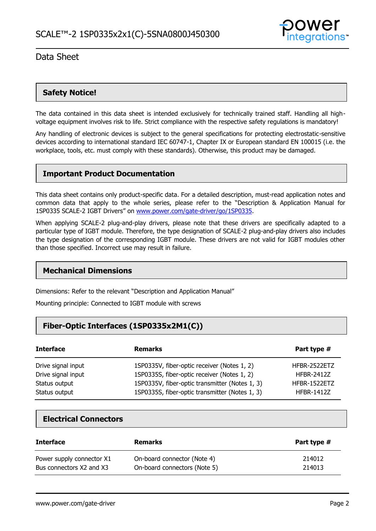

## **Safety Notice!**

The data contained in this data sheet is intended exclusively for technically trained staff. Handling all highvoltage equipment involves risk to life. Strict compliance with the respective safety regulations is mandatory!

Any handling of electronic devices is subject to the general specifications for protecting electrostatic-sensitive devices according to international standard IEC 60747-1, Chapter IX or European standard EN 100015 (i.e. the workplace, tools, etc. must comply with these standards). Otherwise, this product may be damaged.

### **Important Product Documentation**

This data sheet contains only product-specific data. For a detailed description, must-read application notes and common data that apply to the whole series, please refer to the "Description & Application Manual for 1SP0335 SCALE-2 IGBT Drivers" on [www.power.com/gate-driver/go/1SP0335.](http://www.power.com/gate-driver/go/1SP0335)

When applying SCALE-2 plug-and-play drivers, please note that these drivers are specifically adapted to a particular type of IGBT module. Therefore, the type designation of SCALE-2 plug-and-play drivers also includes the type designation of the corresponding IGBT module. These drivers are not valid for IGBT modules other than those specified. Incorrect use may result in failure.

#### **Mechanical Dimensions**

Dimensions: Refer to the relevant "Description and Application Manual"

Mounting principle: Connected to IGBT module with screws

# **Fiber-Optic Interfaces (1SP0335x2M1(C))**

| <b>Interface</b>   | <b>Remarks</b>                                 | Part type #       |
|--------------------|------------------------------------------------|-------------------|
| Drive signal input | 1SP0335V, fiber-optic receiver (Notes 1, 2)    | HFBR-2522ETZ      |
| Drive signal input | 1SP0335S, fiber-optic receiver (Notes 1, 2)    | <b>HFBR-2412Z</b> |
| Status output      | 1SP0335V, fiber-optic transmitter (Notes 1, 3) | HFBR-1522ETZ      |
| Status output      | 1SP0335S, fiber-optic transmitter (Notes 1, 3) | <b>HFBR-1412Z</b> |

### **Electrical Connectors**

| <b>Interface</b>          | <b>Remarks</b>               | Part type # |
|---------------------------|------------------------------|-------------|
| Power supply connector X1 | On-board connector (Note 4)  | 214012      |
| Bus connectors X2 and X3  | On-board connectors (Note 5) | 214013      |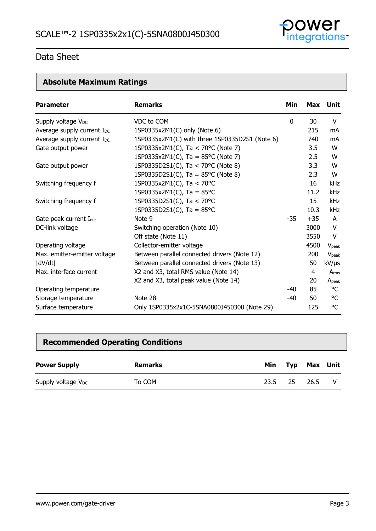

# **Absolute Maximum Ratings**

| <b>Parameter</b>                       | <b>Remarks</b>                                 | Min   |       | Max Unit          |
|----------------------------------------|------------------------------------------------|-------|-------|-------------------|
| Supply voltage V <sub>DC</sub>         | VDC to COM                                     | 0     | 30    | V                 |
| Average supply current $I_{DC}$        | 1SP0335x2M1(C) only (Note 6)                   |       | 215   | mA                |
| Average supply current I <sub>DC</sub> | 1SP0335x2M1(C) with three 1SP0335D2S1 (Note 6) |       | 740   | mA                |
| Gate output power                      | 1SP0335x2M1(C), Ta < 70°C (Note 7)             |       | 3.5   | W                 |
|                                        | 1SP0335x2M1(C), Ta = $85^{\circ}$ C (Note 7)   |       | 2.5   | W                 |
| Gate output power                      | 1SP0335D2S1(C), Ta < 70°C (Note 8)             |       | 3.3   | W                 |
|                                        | 1SP0335D2S1(C), Ta = $85^{\circ}$ C (Note 8)   |       | 2.3   | W                 |
| Switching frequency f                  | 1SP0335x2M1(C), Ta < 70°C                      |       | 16    | kHz               |
|                                        | 1SP0335x2M1(C), Ta = $85^{\circ}$ C            |       | 11.2  | kHz               |
| Switching frequency f                  | 1SP0335D2S1(C), Ta < 70°C                      |       | 15    | kHz               |
|                                        | 1SP0335D2S1(C), Ta = $85^{\circ}$ C            |       | 10.3  | <b>kHz</b>        |
| Gate peak current I <sub>out</sub>     | Note 9                                         | $-35$ | $+35$ | A                 |
| DC-link voltage                        | Switching operation (Note 10)                  |       | 3000  | V                 |
|                                        | Off state (Note 11)                            |       | 3550  | V                 |
| Operating voltage                      | Collector-emitter voltage                      |       | 4500  | V <sub>peak</sub> |
| Max. emitter-emitter voltage           | Between parallel connected drivers (Note 12)   |       | 200   | $V_{\rm peak}$    |
| dV/dt                                  | Between parallel connected drivers (Note 13)   |       | 50    | $kV/\mu s$        |
| Max. interface current                 | X2 and X3, total RMS value (Note 14)           |       | 4     | Arms              |
|                                        | X2 and X3, total peak value (Note 14)          |       | 20    | $A_{peak}$        |
| Operating temperature                  |                                                | $-40$ | 85    | °C                |
| Storage temperature                    | Note 28                                        | $-40$ | 50    | °C                |
| Surface temperature                    | Only 1SP0335x2x1C-5SNA0800J450300 (Note 29)    |       | 125   | °C                |

# **Recommended Operating Conditions**

| <b>Power Supply</b>            | Remarks | Min  |     | Typ Max Unit |  |
|--------------------------------|---------|------|-----|--------------|--|
| Supply voltage V <sub>DC</sub> | To COM  | 23.5 | -25 | 26.5         |  |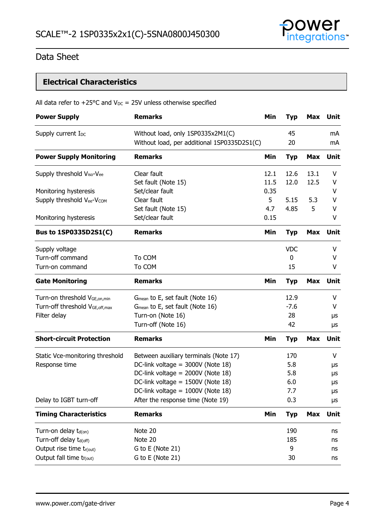

# **Electrical Characteristics**

|  |  |  |  |  |  |  | All data refer to $+25^{\circ}$ C and $V_{DC}$ = 25V unless otherwise specified |  |
|--|--|--|--|--|--|--|---------------------------------------------------------------------------------|--|
|--|--|--|--|--|--|--|---------------------------------------------------------------------------------|--|

| <b>Power Supply</b>                                | <b>Remarks</b>                                                                   | Min  | <b>Typ</b> | Max        | Unit        |
|----------------------------------------------------|----------------------------------------------------------------------------------|------|------------|------------|-------------|
| Supply current I <sub>DC</sub>                     | Without load, only 1SP0335x2M1(C)<br>Without load, per additional 1SP0335D2S1(C) |      | 45<br>20   |            | mA<br>mA    |
| <b>Power Supply Monitoring</b>                     | <b>Remarks</b>                                                                   | Min  | <b>Typ</b> | <b>Max</b> | Unit        |
| Supply threshold V <sub>iso</sub> -V <sub>ee</sub> | Clear fault                                                                      | 12.1 | 12.6       | 13.1       | V           |
|                                                    | Set fault (Note 15)                                                              | 11.5 | 12.0       | 12.5       | V           |
| Monitoring hysteresis                              | Set/clear fault                                                                  | 0.35 |            |            | ۷           |
| Supply threshold Vee-VCOM                          | Clear fault                                                                      | 5    | 5.15       | 5.3        | V           |
|                                                    | Set fault (Note 15)                                                              | 4.7  | 4.85       | 5          | V           |
| Monitoring hysteresis                              | Set/clear fault                                                                  | 0.15 |            |            | V           |
| Bus to 1SP0335D2S1(C)                              | <b>Remarks</b>                                                                   | Min  | <b>Typ</b> | <b>Max</b> | Unit        |
| Supply voltage                                     |                                                                                  |      | <b>VDC</b> |            | V           |
| Turn-off command                                   | To COM                                                                           |      | 0          |            | v           |
| Turn-on command                                    | To COM                                                                           |      | 15         |            | V           |
| <b>Gate Monitoring</b>                             | <b>Remarks</b>                                                                   | Min  | <b>Typ</b> | <b>Max</b> | <b>Unit</b> |
| Turn-on threshold V <sub>GE, on, min</sub>         | G <sub>mean</sub> to E, set fault (Note 16)                                      |      | 12.9       |            | V           |
| Turn-off threshold VGE, off, max                   | G <sub>mean</sub> to E, set fault (Note 16)                                      |      | $-7.6$     |            | V           |
| Filter delay                                       | Turn-on (Note 16)                                                                |      | 28         |            | μs          |
|                                                    | Turn-off (Note 16)                                                               |      | 42         |            | μs          |
| <b>Short-circuit Protection</b>                    | <b>Remarks</b>                                                                   | Min  | <b>Typ</b> | <b>Max</b> | Unit        |
| Static Vce-monitoring threshold                    | Between auxiliary terminals (Note 17)                                            |      | 170        |            | V           |
| Response time                                      | DC-link voltage = 3000V (Note 18)                                                |      | 5.8        |            | μs          |
|                                                    | DC-link voltage = 2000V (Note 18)                                                |      | 5.8        |            | μs          |
|                                                    | DC-link voltage = 1500V (Note 18)                                                |      | 6.0        |            | μs          |
|                                                    | DC-link voltage = 1000V (Note 18)                                                |      | 7.7        |            | μs          |
| Delay to IGBT turn-off                             | After the response time (Note 19)                                                |      | 0.3        |            | μs          |
| <b>Timing Characteristics</b>                      | <b>Remarks</b>                                                                   | Min  | <b>Typ</b> | <b>Max</b> | <b>Unit</b> |
| Turn-on delay $t_{d(0n)}$                          | Note 20                                                                          |      | 190        |            | ns          |
| Turn-off delay t <sub>d(off)</sub>                 | Note 20                                                                          |      | 185        |            | ns          |
| Output rise time tr(out)                           | G to E (Note 21)                                                                 |      | 9          |            | ns          |
| Output fall time tf(out)                           | G to E (Note 21)                                                                 |      | 30         |            | ns          |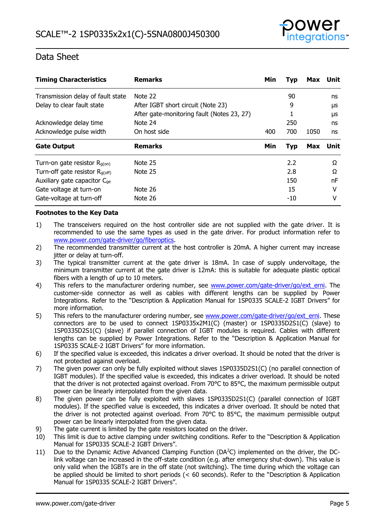

| <b>Timing Characteristics</b>            | <b>Remarks</b>                             | Min | <b>Typ</b> | Max  | Unit     |
|------------------------------------------|--------------------------------------------|-----|------------|------|----------|
| Transmission delay of fault state        | Note 22                                    |     | 90         |      | ns       |
| Delay to clear fault state               | After IGBT short circuit (Note 23)         |     | 9          |      | μs       |
|                                          | After gate-monitoring fault (Notes 23, 27) |     |            |      | μs       |
| Acknowledge delay time                   | Note 24                                    |     | 250        |      | ns       |
| Acknowledge pulse width                  | On host side                               | 400 | 700        | 1050 | ns       |
|                                          |                                            |     |            |      |          |
| <b>Gate Output</b>                       | <b>Remarks</b>                             | Min | <b>Typ</b> | Max  | Unit     |
| Turn-on gate resistor $R_{g(0n)}$        | Note 25                                    |     | 2.2        |      | $\Omega$ |
| Turn-off gate resistor $R_{q(off)}$      | Note 25                                    |     | 2.8        |      | Ω        |
| Auxiliary gate capacitor C <sub>ge</sub> |                                            |     | 150        |      | nF       |
| Gate voltage at turn-on                  | Note 26                                    |     | 15         |      | v        |

#### **Footnotes to the Key Data**

- 1) The transceivers required on the host controller side are not supplied with the gate driver. It is recommended to use the same types as used in the gate driver. For product information refer to [www.power.com/gate-driver/go/fiberoptics.](http://www.power.com/gate-driver/go/fiberoptics)
- 2) The recommended transmitter current at the host controller is 20mA. A higher current may increase jitter or delay at turn-off.
- 3) The typical transmitter current at the gate driver is 18mA. In case of supply undervoltage, the minimum transmitter current at the gate driver is 12mA: this is suitable for adequate plastic optical fibers with a length of up to 10 meters.
- 4) This refers to the manufacturer ordering number, see www.power.com/gate-driver/go/ext erni. The customer-side connector as well as cables with different lengths can be supplied by Power Integrations. Refer to the "Description & Application Manual for 1SP0335 SCALE-2 IGBT Drivers" for more information.
- 5) This refers to the manufacturer ordering number, see [www.power.com/gate-driver/go/ext\\_erni.](http://www.power.com/gate-driver/go/ext_erni) These connectors are to be used to connect 1SP0335x2M1(C) (master) or 1SP0335D2S1(C) (slave) to 1SP0335D2S1(C) (slave) if parallel connection of IGBT modules is required. Cables with different lengths can be supplied by Power Integrations. Refer to the "Description & Application Manual for 1SP0335 SCALE-2 IGBT Drivers" for more information.
- 6) If the specified value is exceeded, this indicates a driver overload. It should be noted that the driver is not protected against overload.
- 7) The given power can only be fully exploited without slaves 1SP0335D2S1(C) (no parallel connection of IGBT modules). If the specified value is exceeded, this indicates a driver overload. It should be noted that the driver is not protected against overload. From 70°C to 85°C, the maximum permissible output power can be linearly interpolated from the given data.
- 8) The given power can be fully exploited with slaves 1SP0335D2S1(C) (parallel connection of IGBT modules). If the specified value is exceeded, this indicates a driver overload. It should be noted that the driver is not protected against overload. From 70°C to 85°C, the maximum permissible output power can be linearly interpolated from the given data.
- 9) The gate current is limited by the gate resistors located on the driver.
- 10) This limit is due to active clamping under switching conditions. Refer to the "Description & Application Manual for 1SP0335 SCALE-2 IGBT Drivers".
- 11) Due to the Dynamic Active Advanced Clamping Function (DA<sup>2</sup>C) implemented on the driver, the DClink voltage can be increased in the off-state condition (e.g. after emergency shut-down). This value is only valid when the IGBTs are in the off state (not switching). The time during which the voltage can be applied should be limited to short periods (< 60 seconds). Refer to the "Description & Application Manual for 1SP0335 SCALE-2 IGBT Drivers".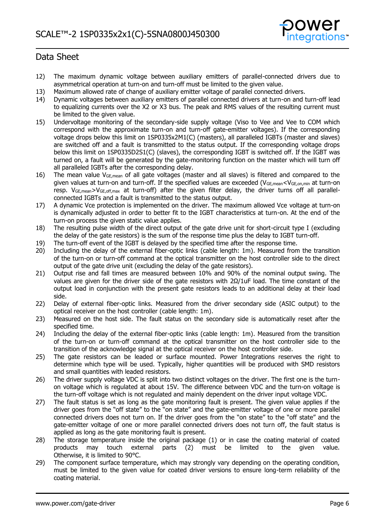

- 12) The maximum dynamic voltage between auxiliary emitters of parallel-connected drivers due to asymmetrical operation at turn-on and turn-off must be limited to the given value.
- 13) Maximum allowed rate of change of auxiliary emitter voltage of parallel connected drivers.
- 14) Dynamic voltages between auxiliary emitters of parallel connected drivers at turn-on and turn-off lead to equalizing currents over the X2 or X3 bus. The peak and RMS values of the resulting current must be limited to the given value.
- 15) Undervoltage monitoring of the secondary-side supply voltage (Viso to Vee and Vee to COM which correspond with the approximate turn-on and turn-off gate-emitter voltages). If the corresponding voltage drops below this limit on 1SP0335x2M1(C) (masters), all paralleled IGBTs (master and slaves) are switched off and a fault is transmitted to the status output. If the corresponding voltage drops below this limit on 1SP0335D2S1(C) (slaves), the corresponding IGBT is switched off. If the IGBT was turned on, a fault will be generated by the gate-monitoring function on the master which will turn off all paralleled IGBTs after the corresponding delay.
- 16) The mean value VGE,mean of all gate voltages (master and all slaves) is filtered and compared to the given values at turn-on and turn-off. If the specified values are exceeded (VGE,mean<VGE,on,min at turn-on resp. V<sub>GE,mean</sub>>V<sub>GE,off,max</sub> at turn-off) after the given filter delay, the driver turns off all parallelconnected IGBTs and a fault is transmitted to the status output.
- 17) A dynamic Vce protection is implemented on the driver. The maximum allowed Vce voltage at turn-on is dynamically adjusted in order to better fit to the IGBT characteristics at turn-on. At the end of the turn-on process the given static value applies.
- 18) The resulting pulse width of the direct output of the gate drive unit for short-circuit type I (excluding the delay of the gate resistors) is the sum of the response time plus the delay to IGBT turn-off.
- 19) The turn-off event of the IGBT is delayed by the specified time after the response time.
- 20) Including the delay of the external fiber-optic links (cable length: 1m). Measured from the transition of the turn-on or turn-off command at the optical transmitter on the host controller side to the direct output of the gate drive unit (excluding the delay of the gate resistors).
- 21) Output rise and fall times are measured between 10% and 90% of the nominal output swing. The values are given for the driver side of the gate resistors with  $2Ω/1uF$  load. The time constant of the output load in conjunction with the present gate resistors leads to an additional delay at their load side.
- 22) Delay of external fiber-optic links. Measured from the driver secondary side (ASIC output) to the optical receiver on the host controller (cable length: 1m).
- 23) Measured on the host side. The fault status on the secondary side is automatically reset after the specified time.
- 24) Including the delay of the external fiber-optic links (cable length: 1m). Measured from the transition of the turn-on or turn-off command at the optical transmitter on the host controller side to the transition of the acknowledge signal at the optical receiver on the host controller side.
- 25) The gate resistors can be leaded or surface mounted. Power Integrations reserves the right to determine which type will be used. Typically, higher quantities will be produced with SMD resistors and small quantities with leaded resistors.
- 26) The driver supply voltage VDC is split into two distinct voltages on the driver. The first one is the turnon voltage which is regulated at about 15V. The difference between VDC and the turn-on voltage is the turn-off voltage which is not regulated and mainly dependent on the driver input voltage VDC.
- 27) The fault status is set as long as the gate monitoring fault is present. The given value applies if the driver goes from the "off state" to the "on state" and the gate-emitter voltage of one or more parallel connected drivers does not turn on. If the driver goes from the "on state" to the "off state" and the gate-emitter voltage of one or more parallel connected drivers does not turn off, the fault status is applied as long as the gate monitoring fault is present.
- 28) The storage temperature inside the original package (1) or in case the coating material of coated products may touch external parts (2) must be limited to the given value. Otherwise, it is limited to 90°C.
- 29) The component surface temperature, which may strongly vary depending on the operating condition, must be limited to the given value for coated driver versions to ensure long-term reliability of the coating material.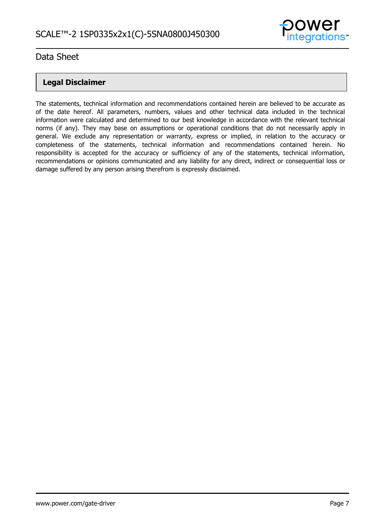

# **Legal Disclaimer**

The statements, technical information and recommendations contained herein are believed to be accurate as of the date hereof. All parameters, numbers, values and other technical data included in the technical information were calculated and determined to our best knowledge in accordance with the relevant technical norms (if any). They may base on assumptions or operational conditions that do not necessarily apply in general. We exclude any representation or warranty, express or implied, in relation to the accuracy or completeness of the statements, technical information and recommendations contained herein. No responsibility is accepted for the accuracy or sufficiency of any of the statements, technical information, recommendations or opinions communicated and any liability for any direct, indirect or consequential loss or damage suffered by any person arising therefrom is expressly disclaimed.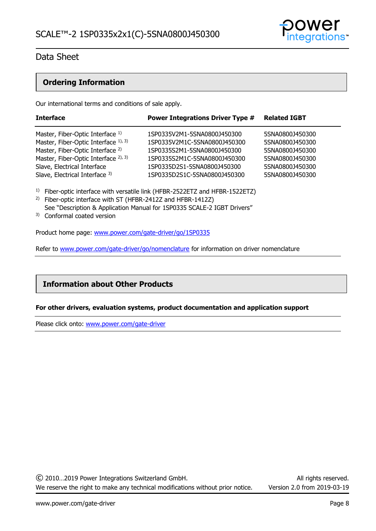

# **Ordering Information**

Our international terms and conditions of sale apply.

| <b>Interface</b>                            | <b>Power Integrations Driver Type #</b> | <b>Related IGBT</b> |
|---------------------------------------------|-----------------------------------------|---------------------|
| Master, Fiber-Optic Interface 1)            | 1SP0335V2M1-5SNA0800J450300             | 5SNA0800J450300     |
| Master, Fiber-Optic Interface 1), 3)        | 1SP0335V2M1C-5SNA0800J450300            | 5SNA0800J450300     |
| Master, Fiber-Optic Interface <sup>2)</sup> | 1SP0335S2M1-5SNA0800J450300             | 5SNA0800J450300     |
| Master, Fiber-Optic Interface 2), 3)        | 1SP0335S2M1C-5SNA0800J450300            | 5SNA0800J450300     |
| Slave, Electrical Interface                 | 1SP0335D2S1-5SNA0800J450300             | 5SNA0800J450300     |
| Slave, Electrical Interface 3)              | 1SP0335D2S1C-5SNA0800J450300            | 5SNA0800J450300     |

<sup>1)</sup> Fiber-optic interface with versatile link (HFBR-2522ETZ and HFBR-1522ETZ)

- 2) Fiber-optic interface with ST (HFBR-2412Z and HFBR-1412Z) See "Description & Application Manual for 1SP0335 SCALE-2 IGBT Drivers"
- 3) Conformal coated version

Product home page: [www.power.com/gate-driver/go/1SP0335](http://www.power.com/gate-driver/go/1SP0335)

Refer to [www.power.com/gate-driver/go/nomenclature](http://www.power.com/gate-driver/go/nomenclature) for information on driver nomenclature

# **Information about Other Products**

#### **For other drivers, evaluation systems, product documentation and application support**

Please click onto: [www.power.com/gate-driver](http://www.power.com/gate-driver)